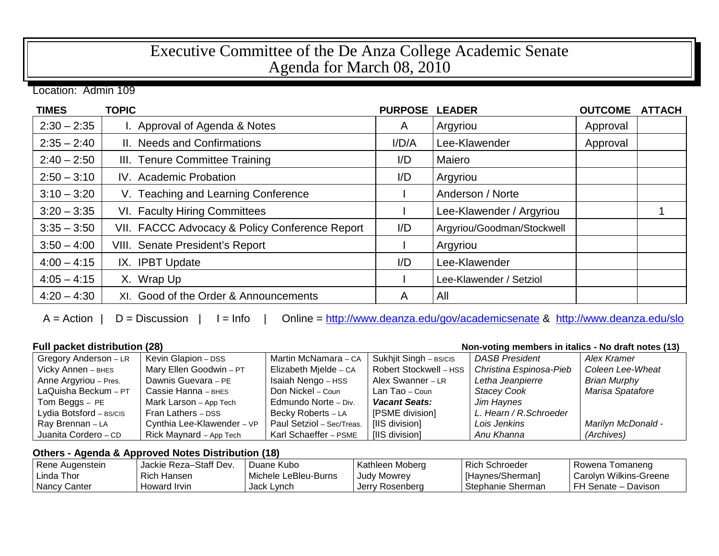## Executive Committee of the De Anza College Academic Senate Agenda for March 08, 2010

Location: Admin 109

| <b>TIMES</b>  | <b>TOPIC</b>                                   | <b>PURPOSE</b> | <b>LEADER</b>              | <b>OUTCOME</b> | <b>ATTACH</b> |
|---------------|------------------------------------------------|----------------|----------------------------|----------------|---------------|
| $2:30 - 2:35$ | I. Approval of Agenda & Notes                  | $\mathsf{A}$   | Argyriou                   | Approval       |               |
| $2:35 - 2:40$ | II. Needs and Confirmations                    | I/D/A          | Lee-Klawender              | Approval       |               |
| $2:40 - 2:50$ | III. Tenure Committee Training                 | I/D            | Maiero                     |                |               |
| $2:50 - 3:10$ | IV. Academic Probation                         | I/D            | Argyriou                   |                |               |
| $3:10 - 3:20$ | V. Teaching and Learning Conference            |                | Anderson / Norte           |                |               |
| $3:20 - 3:35$ | VI. Faculty Hiring Committees                  |                | Lee-Klawender / Argyriou   |                |               |
| $3:35 - 3:50$ | VII. FACCC Advocacy & Policy Conference Report | I/D            | Argyriou/Goodman/Stockwell |                |               |
| $3:50 - 4:00$ | VIII. Senate President's Report                |                | Argyriou                   |                |               |
| $4:00 - 4:15$ | IX. IPBT Update                                | I/D            | Lee-Klawender              |                |               |
| $4:05 - 4:15$ | X. Wrap Up                                     |                | Lee-Klawender / Setziol    |                |               |
| $4:20 - 4:30$ | XI. Good of the Order & Announcements          | A              | All                        |                |               |

 $A =$ Action | D = Discussion | I = Info | Online =<http://www.deanza.edu/gov/academicsenate> & <http://www.deanza.edu/slo>

## **Full packet distribution (28)**<br> **Gregory Anderson – LR** | Kevin Glapion – DSS | Martin McNamara – CA | Sukhjit Singh – BS/CIS | DASB President | Alex Kramer Gregory Anderson – LR | Kevin Glapion – DSS | Martin McNamara – CA Vicky Annen – BHES Mary Ellen Goodwin – PT Elizabeth Mjelde – CA Robert Stockwell – HSS *Christina Espinosa-Pieb* Coleen Lee-Wheat **Anne Aravriou – Pres.** Dawnis Guevara – PE Isaiah Nengo – HSS Alex Swanner – LR Letha Jean Anne Argyriou – Pres. Dawnis Guevara – PE | Isaiah Nengo – HSS | Alex Swanner – LR | *Letha Jeanpierre* | *Brian Murphy*<br>Lan Tao – Coun | Stacey Cook | Marisa Spatat LaQuisha Beckum – PT Cassie Hanna – BHES Don Nickel – Coun Lan Tao – Coun Stacey Cook Marisa Spatafore Tom Beggs – PE Mark Larson – App Tech Edmundo Norte – Div. **Vacant Seats:** Jim Haynes<br>
Lydia Botsford – Bs/cis Fran Lathers – DSS Becky Roberts – LA [PSME division] L. Hearn / R.Schroeder Lydia Botsford – BS/CIS Fran Lathers – DSS **Becky Roberts – LA** Ray Brennan – LA Cynthia Lee-Klawender – VP Paul Setziol – Sec/Treas. [IIS division] *Lois Jenkins Marilyn McDonald -* Juanita Cordero – CD Rick Maynard – App Tech Karl Schaeffer – PSME [IIS division] *Anu Khanna (Archives)*

## **Others - Agenda & Approved Notes Distribution (18)**

| Rene Augenstein | Jackie Reza-Staff Dev. | Duane Kubo           | Kathleen Moberg | Rich Schroeder    | Rowena Tomaneng          |
|-----------------|------------------------|----------------------|-----------------|-------------------|--------------------------|
| l Linda Thor    | Rich Hansen            | Michele LeBleu-Burns | Judy Mowrey     | [Haynes/Sherman]  | ' Carolyn Wilkins-Greene |
| Nancy Canter    | Howard Irvin           | Jack Lynch           | Jerry Rosenberg | Stephanie Sherman | l FH Senate – Davison    |